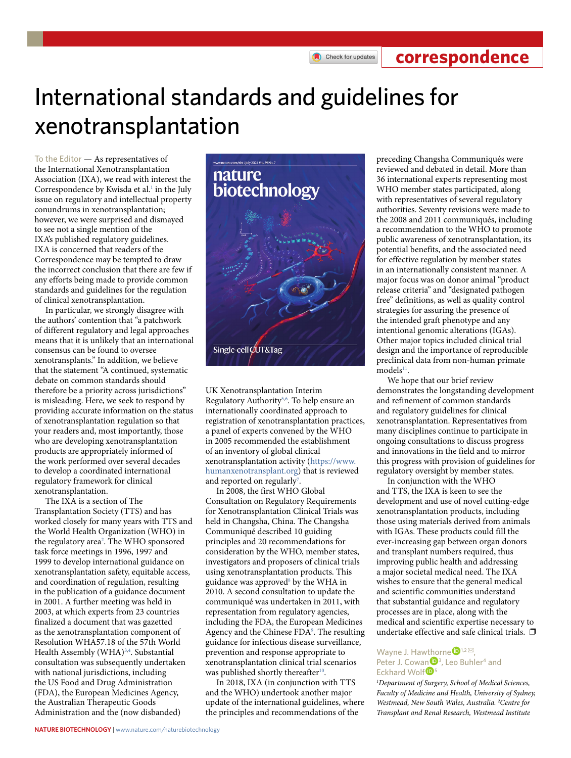Check for updates

**correspondence**

# International standards and guidelines for xenotransplantation

To the Editor — As representatives of the International Xenotransplantation Association (IXA), we read with interest the Correspondence by Kwisda et al.<sup>1</sup> in the July issue on regulatory and intellectual property conundrums in xenotransplantation; however, we were surprised and dismayed to see not a single mention of the IXA's published regulatory guidelines. IXA is concerned that readers of the Correspondence may be tempted to draw the incorrect conclusion that there are few if any efforts being made to provide common standards and guidelines for the regulation of clinical xenotransplantation.

In particular, we strongly disagree with the authors' contention that "a patchwork of different regulatory and legal approaches means that it is unlikely that an international consensus can be found to oversee xenotransplants." In addition, we believe that the statement "A continued, systematic debate on common standards should therefore be a priority across jurisdictions" is misleading. Here, we seek to respond by providing accurate information on the status of xenotransplantation regulation so that your readers and, most importantly, those who are developing xenotransplantation products are appropriately informed of the work performed over several decades to develop a coordinated international regulatory framework for clinical xenotransplantation.

The IXA is a section of The Transplantation Society (TTS) and has worked closely for many years with TTS and the World Health Organization (WHO) in the regulatory area<sup>[2](#page-1-1)</sup>. The WHO sponsored task force meetings in 1996, 1997 and 1999 to develop international guidance on xenotransplantation safety, equitable access, and coordination of regulation, resulting in the publication of a guidance document in 2001. A further meeting was held in 2003, at which experts from 23 countries finalized a document that was gazetted as the xenotransplantation component of Resolution WHA57.18 of the 57th World Health Assembly (WHA)<sup>[3](#page-1-2),[4](#page-1-3)</sup>. Substantial consultation was subsequently undertaken with national jurisdictions, including the US Food and Drug Administration (FDA), the European Medicines Agency, the Australian Therapeutic Goods Administration and the (now disbanded)



UK Xenotransplantation Interim Regulatory Authority<sup>[5](#page-1-4)[,6](#page-1-5)</sup>. To help ensure an internationally coordinated approach to registration of xenotransplantation practices, a panel of experts convened by the WHO in 2005 recommended the establishment of an inventory of global clinical xenotransplantation activity ([https://www.](https://www.humanxenotransplant.org) [humanxenotransplant.org\)](https://www.humanxenotransplant.org) that is reviewed and reported on regularly<sup>[7](#page-1-6)</sup>.

In 2008, the first WHO Global Consultation on Regulatory Requirements for Xenotransplantation Clinical Trials was held in Changsha, China. The Changsha Communiqué described 10 guiding principles and 20 recommendations for consideration by the WHO, member states, investigators and proposers of clinical trials using xenotransplantation products. This guidance was approved<sup>[8](#page-1-7)</sup> by the WHA in 2010. A second consultation to update the communiqué was undertaken in 2011, with representation from regulatory agencies, including the FDA, the European Medicines Agency and the Chinese FDA<sup>[9](#page-1-8)</sup>. The resulting guidance for infectious disease surveillance, prevention and response appropriate to xenotransplantation clinical trial scenarios was published shortly thereafter<sup>[10](#page-1-9)</sup>.

In 2018, IXA (in conjunction with TTS and the WHO) undertook another major update of the international guidelines, where the principles and recommendations of the

preceding Changsha Communiqués were reviewed and debated in detail. More than 36 international experts representing most WHO member states participated, along with representatives of several regulatory authorities. Seventy revisions were made to the 2008 and 2011 communiqués, including a recommendation to the WHO to promote public awareness of xenotransplantation, its potential benefits, and the associated need for effective regulation by member states in an internationally consistent manner. A major focus was on donor animal "product release criteria" and "designated pathogen free" definitions, as well as quality control strategies for assuring the presence of the intended graft phenotype and any intentional genomic alterations (IGAs). Other major topics included clinical trial design and the importance of reproducible preclinical data from non-human primate models<sup>[11](#page-1-10)</sup>.

We hope that our brief review demonstrates the longstanding development and refinement of common standards and regulatory guidelines for clinical xenotransplantation. Representatives from many disciplines continue to participate in ongoing consultations to discuss progress and innovations in the field and to mirror this progress with provision of guidelines for regulatory oversight by member states.

In conjunction with the WHO and TTS, the IXA is keen to see the development and use of novel cutting-edge xenotransplantation products, including those using materials derived from animals with IGAs. These products could fill the ever-increasing gap between organ donors and transplant numbers required, thus improving public health and addressing a major societal medical need. The IXA wishes to ensure that the general medical and scientific communities understand that substantial guidance and regulatory processes are in place, along with the medical and scientific expertise necessary to undertake effective and safe clinical trials.  $\Box$ 

### Wayne J. Haw[tho](http://orcid.org/0000-0001-9016-4954)rne<sup>D</sup><sup>1,2 $\boxtimes$ </sup>, Peter J. Cowan<sup>D<sub>3</sup></sub>, Leo Buhler<sup>4</sup> and</sup> Eckhard Wolf<sup>D<sub>5</sub></sup>

*1 Department of Surgery, School of Medical Sciences, Faculty of Medicine and Health, University of Sydney, Westmead, New South Wales, Australia. 2 Centre for Transplant and Renal Research, Westmead Institute*